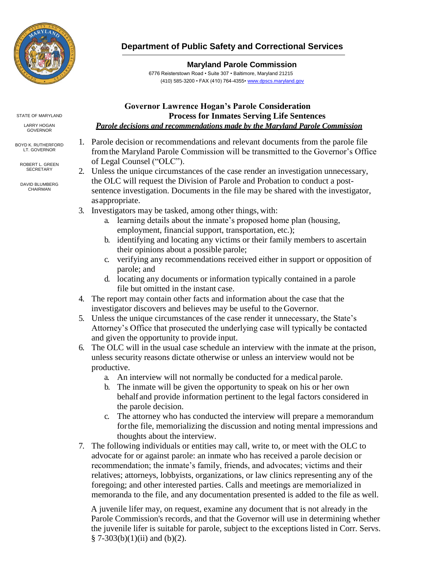

## **Department of Public Safety and Correctional Services**

## **Maryland Parole Commission**

6776 Reisterstown Road • Suite 307 • Baltimore, Maryland 21215 (410) 585-3200 • FAX (410) 764-4355[• www.dpscs.maryland.gov](http://www.dpscs.maryland.gov/)

## STATE OF MARYLAND

LARRY HOGAN GOVERNOR

BOYD K. RUTHERFORD LT. GOVERNOR

ROBERT L. GREEN **SECRETARY** 

DAVID BLUMBERG CHAIRMAN

## **Governor Lawrence Hogan's Parole Consideration Process for Inmates Serving Life Sentences**  *Parole decisions and recommendations made by the Maryland Parole Commission*

- 1. Parole decision or recommendations and relevant documents from the parole file fromthe Maryland Parole Commission will be transmitted to the Governor's Office of Legal Counsel ("OLC").
- 2. Unless the unique circumstances of the case render an investigation unnecessary, the OLC will request the Division of Parole and Probation to conduct a postsentence investigation. Documents in the file may be shared with the investigator, asappropriate.
- 3. Investigators may be tasked, among other things, with:
	- a. learning details about the inmate's proposed home plan (housing, employment, financial support, transportation, etc.);
	- b. identifying and locating any victims or their family members to ascertain their opinions about a possible parole;
	- c. verifying any recommendations received either in support or opposition of parole; and
	- d. locating any documents or information typically contained in a parole file but omitted in the instant case.
- 4. The report may contain other facts and information about the case that the investigator discovers and believes may be useful to the Governor.
- 5. Unless the unique circumstances of the case render it unnecessary, the State's Attorney's Office that prosecuted the underlying case will typically be contacted and given the opportunity to provide input.
- 6. The OLC will in the usual case schedule an interview with the inmate at the prison, unless security reasons dictate otherwise or unless an interview would not be productive.
	- a. An interview will not normally be conducted for a medical parole.
	- b. The inmate will be given the opportunity to speak on his or her own behalf and provide information pertinent to the legal factors considered in the parole decision.
	- c. The attorney who has conducted the interview will prepare a memorandum forthe file, memorializing the discussion and noting mental impressions and thoughts about the interview.
- 7. The following individuals or entities may call, write to, or meet with the OLC to advocate for or against parole: an inmate who has received a parole decision or recommendation; the inmate's family, friends, and advocates; victims and their relatives; attorneys, lobbyists, organizations, or law clinics representing any of the foregoing; and other interested parties. Calls and meetings are memorialized in memoranda to the file, and any documentation presented is added to the file as well.

A juvenile lifer may, on request, examine any document that is not already in the Parole Commission's records, and that the Governor will use in determining whether the juvenile lifer is suitable for parole, subject to the exceptions listed in Corr. Servs.  $§ 7-303(b)(1)(ii)$  and (b)(2).